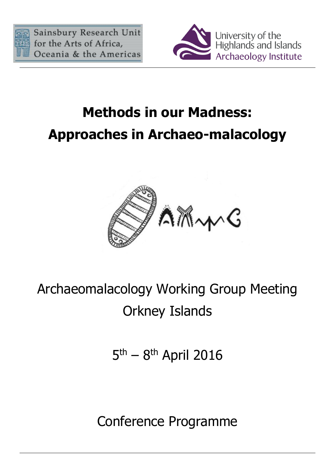



## **Methods in our Madness: Approaches in Archaeo-malacology**



## Archaeomalacology Working Group Meeting Orkney Islands

5<sup>th</sup> – 8<sup>th</sup> April 2016

Conference Programme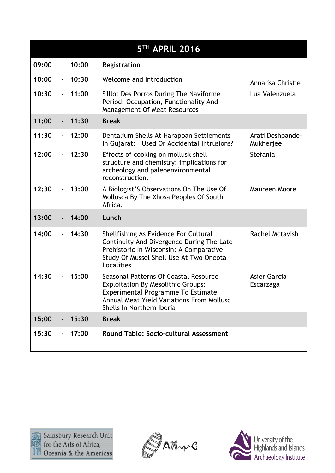|       |             |       | 5TH APRIL 2016                                                                                                                                                                                            |                               |
|-------|-------------|-------|-----------------------------------------------------------------------------------------------------------------------------------------------------------------------------------------------------------|-------------------------------|
| 09:00 |             | 10:00 | Registration                                                                                                                                                                                              |                               |
| 10:00 | $\sim$      | 10:30 | Welcome and Introduction                                                                                                                                                                                  | Annalisa Christie             |
| 10:30 |             | 11:00 | S'Illot Des Porros During The Naviforme<br>Period. Occupation, Functionality And<br>Management Of Meat Resources                                                                                          | Lua Valenzuela                |
| 11:00 |             | 11:30 | <b>Break</b>                                                                                                                                                                                              |                               |
| 11:30 |             | 12:00 | Dentalium Shells At Harappan Settlements<br>In Gujarat: Used Or Accidental Intrusions?                                                                                                                    | Arati Deshpande-<br>Mukherjee |
| 12:00 |             | 12:30 | Effects of cooking on mollusk shell<br>structure and chemistry: implications for<br>archeology and paleoenvironmental<br>reconstruction.                                                                  | Stefania                      |
| 12:30 |             | 13:00 | A Biologist'S Observations On The Use Of<br>Mollusca By The Xhosa Peoples Of South<br>Africa.                                                                                                             | Maureen Moore                 |
| 13:00 |             | 14:00 | Lunch                                                                                                                                                                                                     |                               |
| 14:00 |             | 14:30 | Shellfishing As Evidence For Cultural<br>Continuity And Divergence During The Late<br>Prehistoric In Wisconsin: A Comparative<br>Study Of Mussel Shell Use At Two Oneota<br>Localities                    | Rachel Mctavish               |
| 14:30 |             | 15:00 | Seasonal Patterns Of Coastal Resource<br><b>Exploitation By Mesolithic Groups:</b><br>Experimental Programme To Estimate<br><b>Annual Meat Yield Variations From Mollusc</b><br>Shells In Northern Iberia | Asier Garcia<br>Escarzaga     |
| 15:00 | $\sim 10^7$ | 15:30 | <b>Break</b>                                                                                                                                                                                              |                               |
| 15:30 |             | 17:00 | <b>Round Table: Socio-cultural Assessment</b>                                                                                                                                                             |                               |



AMMG

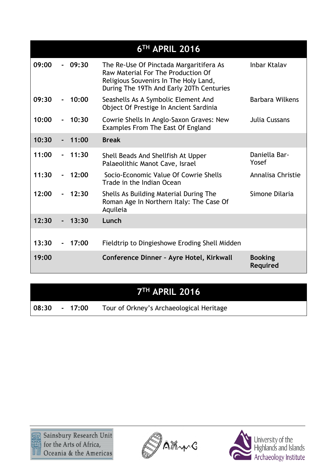|       |                 |          | 6 <sup>TH</sup> APRIL 2016                                                                                                                                         |                            |
|-------|-----------------|----------|--------------------------------------------------------------------------------------------------------------------------------------------------------------------|----------------------------|
| 09:00 |                 | 09:30    | The Re-Use Of Pinctada Margaritifera As<br>Raw Material For The Production Of<br>Religious Souvenirs In The Holy Land,<br>During The 19Th And Early 20Th Centuries | <b>Inbar Ktalav</b>        |
| 09:30 |                 | 10:00    | Seashells As A Symbolic Element And<br>Object Of Prestige In Ancient Sardinia                                                                                      | <b>Barbara Wilkens</b>     |
| 10:00 |                 | 10:30    | Cowrie Shells In Anglo-Saxon Graves: New<br>Examples From The East Of England                                                                                      | Julia Cussans              |
| 10:30 |                 | 11:00    | <b>Break</b>                                                                                                                                                       |                            |
| 11:00 | $\sim$ 10 $\pm$ | 11:30    | Shell Beads And Shellfish At Upper<br>Palaeolithic Manot Cave, Israel                                                                                              | Daniella Bar-<br>Yosef     |
| 11:30 |                 | 12:00    | Socio-Economic Value Of Cowrie Shells<br>Trade in the Indian Ocean                                                                                                 | Annalisa Christie          |
| 12:00 |                 | 12:30    | Shells As Building Material During The<br>Roman Age In Northern Italy: The Case Of<br>Aquileia                                                                     | Simone Dilaria             |
| 12:30 |                 | 13:30    | Lunch                                                                                                                                                              |                            |
| 13:30 |                 | $-17:00$ | Fieldtrip to Dingieshowe Eroding Shell Midden                                                                                                                      |                            |
| 19:00 |                 |          | Conference Dinner - Ayre Hotel, Kirkwall                                                                                                                           | <b>Booking</b><br>Required |

## **7 TH APRIL 2016**

**08:30 - 17:00** Tour of Orkney's Archaeological Heritage